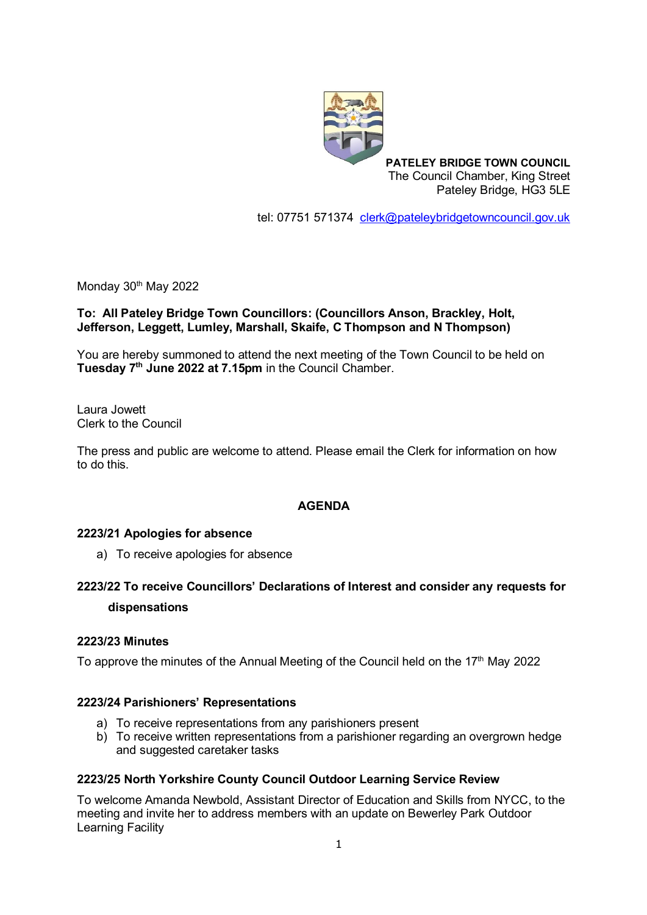

**PATELEY BRIDGE TOWN COUNCIL** The Council Chamber, King Street Pateley Bridge, HG3 5LE

tel: 07751 571374 [clerk@pateleybridgetowncouncil.gov.uk](mailto:clerk@pateleybridgetowncouncil.gov.uk)

Monday 30<sup>th</sup> May 2022

# **To: All Pateley Bridge Town Councillors: (Councillors Anson, Brackley, Holt, Jefferson, Leggett, Lumley, Marshall, Skaife, C Thompson and N Thompson)**

You are hereby summoned to attend the next meeting of the Town Council to be held on **Tuesday 7 th June 2022 at 7.15pm** in the Council Chamber.

Laura Jowett Clerk to the Council

The press and public are welcome to attend. Please email the Clerk for information on how to do this.

# **AGENDA**

#### **2223/21 Apologies for absence**

a) To receive apologies for absence

# **2223/22 To receive Councillors' Declarations of Interest and consider any requests for dispensations**

#### **2223/23 Minutes**

To approve the minutes of the Annual Meeting of the Council held on the 17<sup>th</sup> May 2022

#### **2223/24 Parishioners' Representations**

- a) To receive representations from any parishioners present
- b) To receive written representations from a parishioner regarding an overgrown hedge and suggested caretaker tasks

#### **2223/25 North Yorkshire County Council Outdoor Learning Service Review**

To welcome Amanda Newbold, Assistant Director of Education and Skills from NYCC, to the meeting and invite her to address members with an update on Bewerley Park Outdoor Learning Facility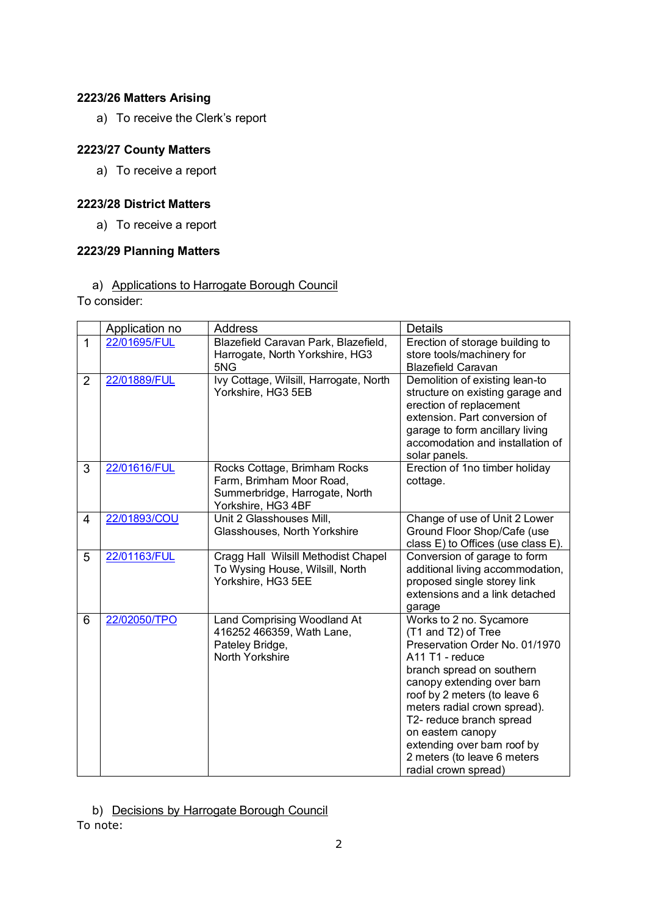# **2223/26 Matters Arising**

a) To receive the Clerk's report

# **2223/27 County Matters**

a) To receive a report

### **2223/28 District Matters**

a) To receive a report

# **2223/29 Planning Matters**

a) Applications to Harrogate Borough Council

To consider:

|                | Application no | <b>Address</b>                                                                                                   | <b>Details</b>                                                                                                                                                                                                                                                                                                                                                        |
|----------------|----------------|------------------------------------------------------------------------------------------------------------------|-----------------------------------------------------------------------------------------------------------------------------------------------------------------------------------------------------------------------------------------------------------------------------------------------------------------------------------------------------------------------|
| $\overline{1}$ | 22/01695/FUL   | Blazefield Caravan Park, Blazefield,<br>Harrogate, North Yorkshire, HG3<br>5NG                                   | Erection of storage building to<br>store tools/machinery for<br><b>Blazefield Caravan</b>                                                                                                                                                                                                                                                                             |
| $\overline{2}$ | 22/01889/FUL   | Ivy Cottage, Wilsill, Harrogate, North<br>Yorkshire, HG3 5EB                                                     | Demolition of existing lean-to<br>structure on existing garage and<br>erection of replacement<br>extension. Part conversion of<br>garage to form ancillary living<br>accomodation and installation of<br>solar panels.                                                                                                                                                |
| 3              | 22/01616/FUL   | Rocks Cottage, Brimham Rocks<br>Farm, Brimham Moor Road,<br>Summerbridge, Harrogate, North<br>Yorkshire, HG3 4BF | Erection of 1no timber holiday<br>cottage.                                                                                                                                                                                                                                                                                                                            |
| $\overline{4}$ | 22/01893/COU   | Unit 2 Glasshouses Mill,<br>Glasshouses, North Yorkshire                                                         | Change of use of Unit 2 Lower<br>Ground Floor Shop/Cafe (use<br>class E) to Offices (use class E).                                                                                                                                                                                                                                                                    |
| 5              | 22/01163/FUL   | Cragg Hall Wilsill Methodist Chapel<br>To Wysing House, Wilsill, North<br>Yorkshire, HG3 5EE                     | Conversion of garage to form<br>additional living accommodation,<br>proposed single storey link<br>extensions and a link detached<br>garage                                                                                                                                                                                                                           |
| 6              | 22/02050/TPO   | Land Comprising Woodland At<br>416252 466359, Wath Lane,<br>Pateley Bridge,<br>North Yorkshire                   | Works to 2 no. Sycamore<br>(T1 and T2) of Tree<br>Preservation Order No. 01/1970<br>A11 T1 - reduce<br>branch spread on southern<br>canopy extending over barn<br>roof by 2 meters (to leave 6<br>meters radial crown spread).<br>T2- reduce branch spread<br>on eastern canopy<br>extending over barn roof by<br>2 meters (to leave 6 meters<br>radial crown spread) |

b) Decisions by Harrogate Borough Council To note: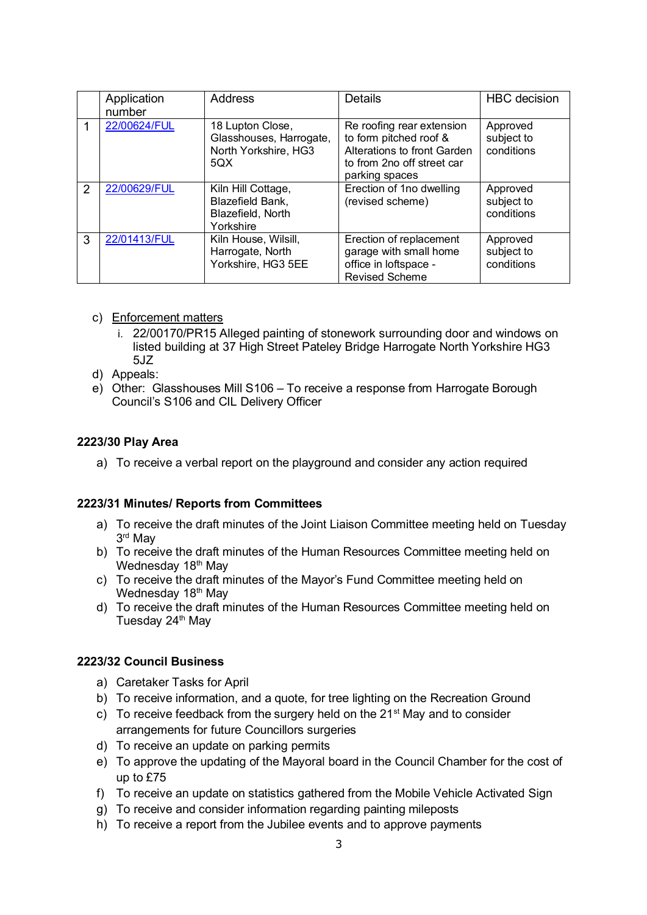|   | Application<br>number | <b>Address</b>                                                             | Details                                                                                                                            | <b>HBC</b> decision                  |
|---|-----------------------|----------------------------------------------------------------------------|------------------------------------------------------------------------------------------------------------------------------------|--------------------------------------|
|   | 22/00624/FUL          | 18 Lupton Close,<br>Glasshouses, Harrogate,<br>North Yorkshire, HG3<br>5QX | Re roofing rear extension<br>to form pitched roof &<br>Alterations to front Garden<br>to from 2no off street car<br>parking spaces | Approved<br>subject to<br>conditions |
| 2 | 22/00629/FUL          | Kiln Hill Cottage,<br>Blazefield Bank,<br>Blazefield, North<br>Yorkshire   | Erection of 1no dwelling<br>(revised scheme)                                                                                       | Approved<br>subject to<br>conditions |
| 3 | 22/01413/FUL          | Kiln House, Wilsill,<br>Harrogate, North<br>Yorkshire, HG3 5EE             | Erection of replacement<br>garage with small home<br>office in loftspace -<br><b>Revised Scheme</b>                                | Approved<br>subject to<br>conditions |

- c) Enforcement matters
	- i. 22/00170/PR15 Alleged painting of stonework surrounding door and windows on listed building at 37 High Street Pateley Bridge Harrogate North Yorkshire HG3 5JZ
- d) Appeals:
- e) Other: Glasshouses Mill S106 To receive a response from Harrogate Borough Council's S106 and CIL Delivery Officer

# **2223/30 Play Area**

a) To receive a verbal report on the playground and consider any action required

#### **2223/31 Minutes/ Reports from Committees**

- a) To receive the draft minutes of the Joint Liaison Committee meeting held on Tuesday 3 rd May
- b) To receive the draft minutes of the Human Resources Committee meeting held on Wednesday 18<sup>th</sup> May
- c) To receive the draft minutes of the Mayor's Fund Committee meeting held on Wednesday 18<sup>th</sup> May
- d) To receive the draft minutes of the Human Resources Committee meeting held on Tuesday 24<sup>th</sup> May

#### **2223/32 Council Business**

- a) Caretaker Tasks for April
- b) To receive information, and a quote, for tree lighting on the Recreation Ground
- c) To receive feedback from the surgery held on the  $21<sup>st</sup>$  May and to consider arrangements for future Councillors surgeries
- d) To receive an update on parking permits
- e) To approve the updating of the Mayoral board in the Council Chamber for the cost of up to £75
- f) To receive an update on statistics gathered from the Mobile Vehicle Activated Sign
- g) To receive and consider information regarding painting mileposts
- h) To receive a report from the Jubilee events and to approve payments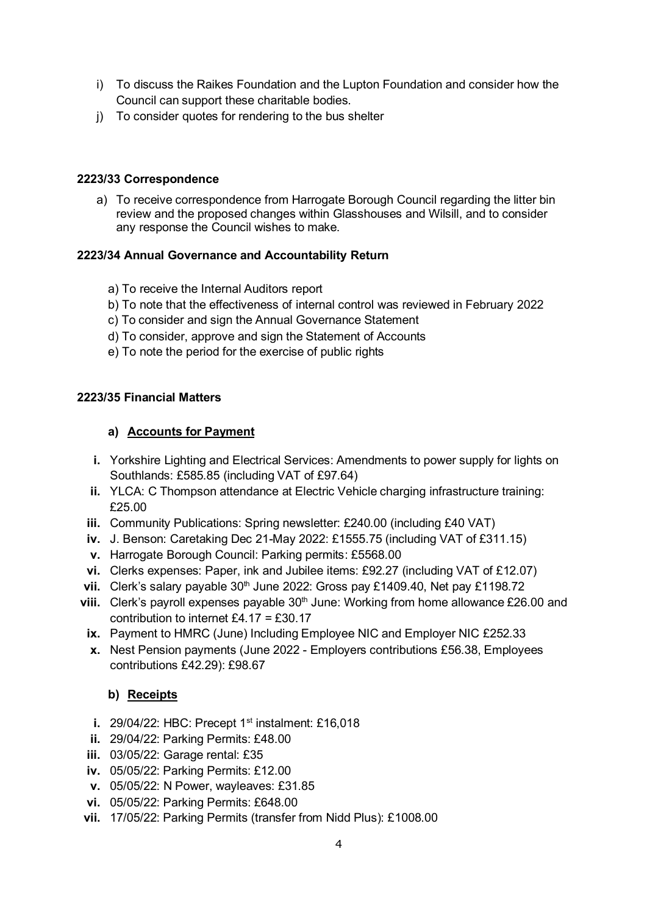- i) To discuss the Raikes Foundation and the Lupton Foundation and consider how the Council can support these charitable bodies.
- j) To consider quotes for rendering to the bus shelter

### **2223/33 Correspondence**

a) To receive correspondence from Harrogate Borough Council regarding the litter bin review and the proposed changes within Glasshouses and Wilsill, and to consider any response the Council wishes to make.

# **2223/34 Annual Governance and Accountability Return**

- a) To receive the Internal Auditors report
- b) To note that the effectiveness of internal control was reviewed in February 2022
- c) To consider and sign the Annual Governance Statement
- d) To consider, approve and sign the Statement of Accounts
- e) To note the period for the exercise of public rights

# **2223/35 Financial Matters**

# **a) Accounts for Payment**

- **i.** Yorkshire Lighting and Electrical Services: Amendments to power supply for lights on Southlands: £585.85 (including VAT of £97.64)
- **ii.** YLCA: C Thompson attendance at Electric Vehicle charging infrastructure training: £25.00
- **iii.** Community Publications: Spring newsletter: £240.00 (including £40 VAT)
- **iv.** J. Benson: Caretaking Dec 21-May 2022: £1555.75 (including VAT of £311.15)
- **v.** Harrogate Borough Council: Parking permits: £5568.00
- **vi.** Clerks expenses: Paper, ink and Jubilee items: £92.27 (including VAT of £12.07)
- **vii.** Clerk's salary payable 30<sup>th</sup> June 2022: Gross pay £1409.40, Net pay £1198.72
- **viii.** Clerk's payroll expenses payable 30<sup>th</sup> June: Working from home allowance £26.00 and contribution to internet £4.17 = £30.17
- **ix.** Payment to HMRC (June) Including Employee NIC and Employer NIC £252.33
- **x.** Nest Pension payments (June 2022 Employers contributions £56.38, Employees contributions £42.29): £98.67

# **b) Receipts**

- **i.** 29/04/22: HBC: Precept 1<sup>st</sup> instalment: £16,018
- **ii.** 29/04/22: Parking Permits: £48.00
- **iii.** 03/05/22: Garage rental: £35
- **iv.** 05/05/22: Parking Permits: £12.00
- **v.** 05/05/22: N Power, wayleaves: £31.85
- **vi.** 05/05/22: Parking Permits: £648.00
- **vii.** 17/05/22: Parking Permits (transfer from Nidd Plus): £1008.00